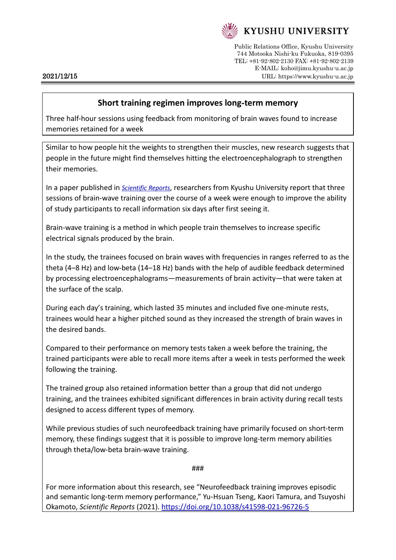

Public Relations Office, Kyushu University 744 Motooka Nishi-ku Fukuoka, 819-0395 TEL: +81-92-802-2130 FAX: +81-92-802-2139 E-MAIL: koho@jimu.kyushu-u.ac.jp 2021/12/15 URL: https://www.kyushu-u.ac.jp

## **Short training regimen improves long**-**term memory**

Three half-hour sessions using feedback from monitoring of brain waves found to increase memories retained for a week

Similar to how people hit the weights to strengthen their muscles, new research suggests that people in the future might find themselves hitting the electroencephalograph to strengthen their memories.

In a paper published in *[Scientific Reports](https://doi.org/10.1038/s41598-021-96726-5)*, researchers from Kyushu University report that three sessions of brain-wave training over the course of a week were enough to improve the ability of study participants to recall information six days after first seeing it.

Brain-wave training is a method in which people train themselves to increase specific electrical signals produced by the brain.

In the study, the trainees focused on brain waves with frequencies in ranges referred to as the theta (4–8 Hz) and low-beta (14–18 Hz) bands with the help of audible feedback determined by processing electroencephalograms—measurements of brain activity—that were taken at the surface of the scalp.

During each day's training, which lasted 35 minutes and included five one-minute rests, trainees would hear a higher pitched sound as they increased the strength of brain waves in the desired bands.

Compared to their performance on memory tests taken a week before the training, the trained participants were able to recall more items after a week in tests performed the week following the training.

The trained group also retained information better than a group that did not undergo training, and the trainees exhibited significant differences in brain activity during recall tests designed to access different types of memory.

While previous studies of such neurofeedback training have primarily focused on short-term memory, these findings suggest that it is possible to improve long-term memory abilities through theta/low-beta brain-wave training.

###

For more information about this research, see "Neurofeedback training improves episodic and semantic long-term memory performance," Yu-Hsuan Tseng, Kaori Tamura, and Tsuyoshi Okamoto, *Scientific Reports* (2021).<https://doi.org/10.1038/s41598-021-96726-5>